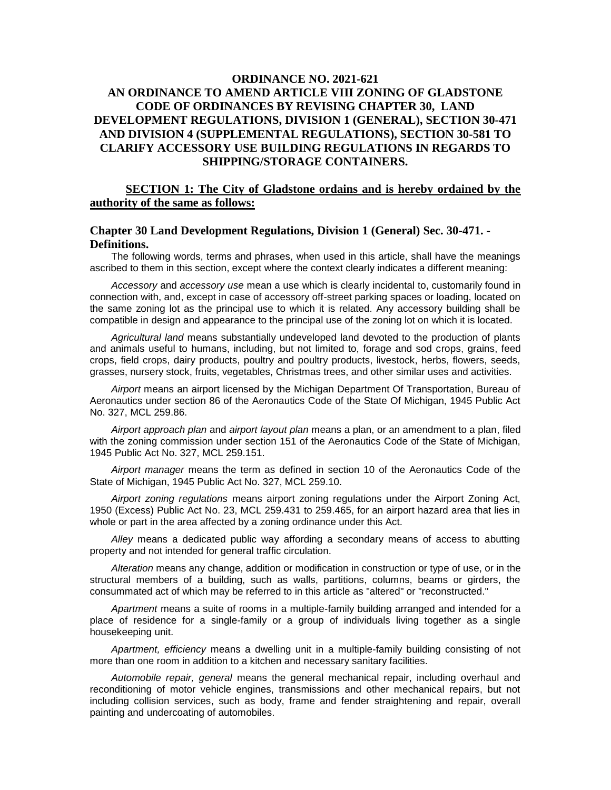## **ORDINANCE NO. 2021-621 AN ORDINANCE TO AMEND ARTICLE VIII ZONING OF GLADSTONE CODE OF ORDINANCES BY REVISING CHAPTER 30, LAND DEVELOPMENT REGULATIONS, DIVISION 1 (GENERAL), SECTION 30-471 AND DIVISION 4 (SUPPLEMENTAL REGULATIONS), SECTION 30-581 TO CLARIFY ACCESSORY USE BUILDING REGULATIONS IN REGARDS TO SHIPPING/STORAGE CONTAINERS.**

### **SECTION 1: The City of Gladstone ordains and is hereby ordained by the authority of the same as follows:**

#### **Chapter 30 Land Development Regulations, Division 1 (General) Sec. 30-471. - Definitions.**

The following words, terms and phrases, when used in this article, shall have the meanings ascribed to them in this section, except where the context clearly indicates a different meaning:

*Accessory* and *accessory use* mean a use which is clearly incidental to, customarily found in connection with, and, except in case of accessory off-street parking spaces or loading, located on the same zoning lot as the principal use to which it is related. Any accessory building shall be compatible in design and appearance to the principal use of the zoning lot on which it is located.

*Agricultural land* means substantially undeveloped land devoted to the production of plants and animals useful to humans, including, but not limited to, forage and sod crops, grains, feed crops, field crops, dairy products, poultry and poultry products, livestock, herbs, flowers, seeds, grasses, nursery stock, fruits, vegetables, Christmas trees, and other similar uses and activities.

*Airport* means an airport licensed by the Michigan Department Of Transportation, Bureau of Aeronautics under section 86 of the Aeronautics Code of the State Of Michigan, 1945 Public Act No. 327, MCL 259.86.

*Airport approach plan* and *airport layout plan* means a plan, or an amendment to a plan, filed with the zoning commission under section 151 of the Aeronautics Code of the State of Michigan, 1945 Public Act No. 327, MCL 259.151.

*Airport manager* means the term as defined in section 10 of the Aeronautics Code of the State of Michigan, 1945 Public Act No. 327, MCL 259.10.

*Airport zoning regulations* means airport zoning regulations under the Airport Zoning Act, 1950 (Excess) Public Act No. 23, MCL 259.431 to 259.465, for an airport hazard area that lies in whole or part in the area affected by a zoning ordinance under this Act.

*Alley* means a dedicated public way affording a secondary means of access to abutting property and not intended for general traffic circulation.

*Alteration* means any change, addition or modification in construction or type of use, or in the structural members of a building, such as walls, partitions, columns, beams or girders, the consummated act of which may be referred to in this article as "altered" or "reconstructed."

*Apartment* means a suite of rooms in a multiple-family building arranged and intended for a place of residence for a single-family or a group of individuals living together as a single housekeeping unit.

*Apartment, efficiency* means a dwelling unit in a multiple-family building consisting of not more than one room in addition to a kitchen and necessary sanitary facilities.

*Automobile repair, general* means the general mechanical repair, including overhaul and reconditioning of motor vehicle engines, transmissions and other mechanical repairs, but not including collision services, such as body, frame and fender straightening and repair, overall painting and undercoating of automobiles.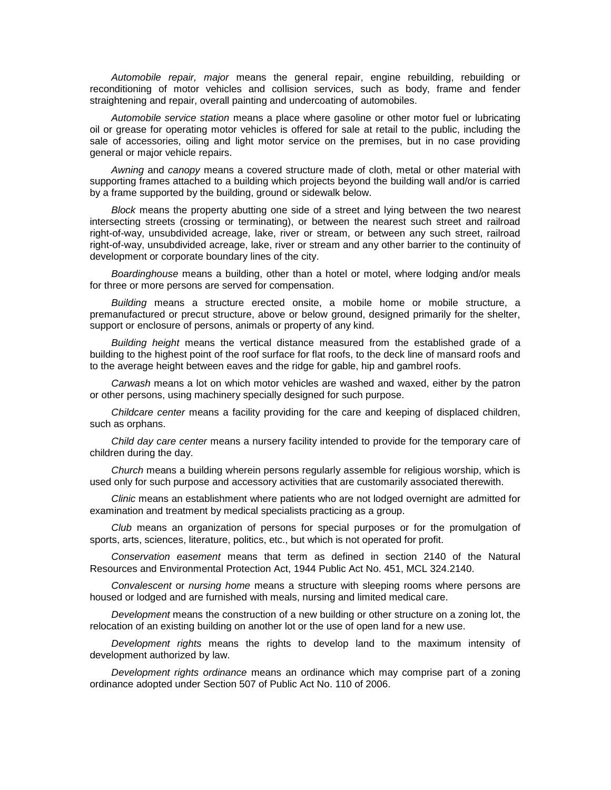*Automobile repair, major* means the general repair, engine rebuilding, rebuilding or reconditioning of motor vehicles and collision services, such as body, frame and fender straightening and repair, overall painting and undercoating of automobiles.

*Automobile service station* means a place where gasoline or other motor fuel or lubricating oil or grease for operating motor vehicles is offered for sale at retail to the public, including the sale of accessories, oiling and light motor service on the premises, but in no case providing general or major vehicle repairs.

*Awning* and *canopy* means a covered structure made of cloth, metal or other material with supporting frames attached to a building which projects beyond the building wall and/or is carried by a frame supported by the building, ground or sidewalk below.

*Block* means the property abutting one side of a street and lying between the two nearest intersecting streets (crossing or terminating), or between the nearest such street and railroad right-of-way, unsubdivided acreage, lake, river or stream, or between any such street, railroad right-of-way, unsubdivided acreage, lake, river or stream and any other barrier to the continuity of development or corporate boundary lines of the city.

*Boardinghouse* means a building, other than a hotel or motel, where lodging and/or meals for three or more persons are served for compensation.

*Building* means a structure erected onsite, a mobile home or mobile structure, a premanufactured or precut structure, above or below ground, designed primarily for the shelter, support or enclosure of persons, animals or property of any kind.

*Building height* means the vertical distance measured from the established grade of a building to the highest point of the roof surface for flat roofs, to the deck line of mansard roofs and to the average height between eaves and the ridge for gable, hip and gambrel roofs.

*Carwash* means a lot on which motor vehicles are washed and waxed, either by the patron or other persons, using machinery specially designed for such purpose.

*Childcare center* means a facility providing for the care and keeping of displaced children, such as orphans.

*Child day care center* means a nursery facility intended to provide for the temporary care of children during the day.

*Church* means a building wherein persons regularly assemble for religious worship, which is used only for such purpose and accessory activities that are customarily associated therewith.

*Clinic* means an establishment where patients who are not lodged overnight are admitted for examination and treatment by medical specialists practicing as a group.

*Club* means an organization of persons for special purposes or for the promulgation of sports, arts, sciences, literature, politics, etc., but which is not operated for profit.

*Conservation easement* means that term as defined in section 2140 of the Natural Resources and Environmental Protection Act, 1944 Public Act No. 451, MCL 324.2140.

*Convalescent* or *nursing home* means a structure with sleeping rooms where persons are housed or lodged and are furnished with meals, nursing and limited medical care.

*Development* means the construction of a new building or other structure on a zoning lot, the relocation of an existing building on another lot or the use of open land for a new use.

*Development rights* means the rights to develop land to the maximum intensity of development authorized by law.

*Development rights ordinance* means an ordinance which may comprise part of a zoning ordinance adopted under Section 507 of Public Act No. 110 of 2006.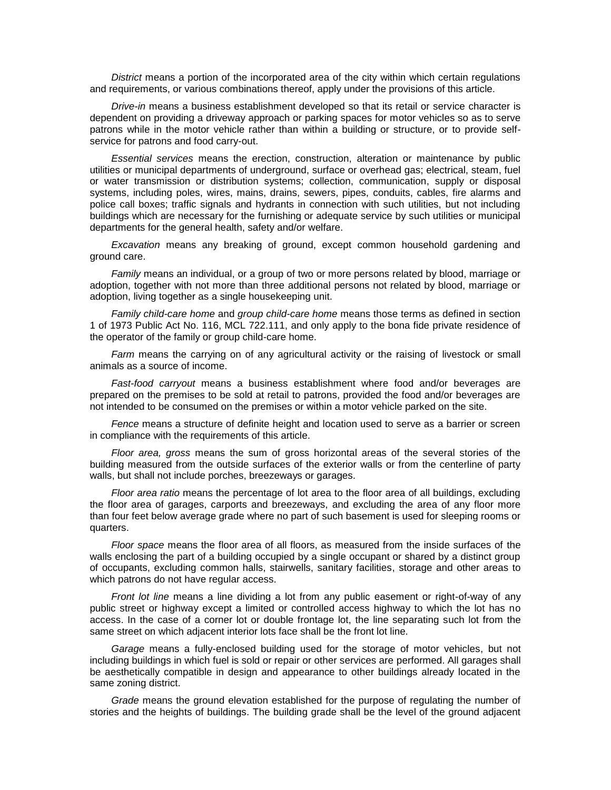*District* means a portion of the incorporated area of the city within which certain regulations and requirements, or various combinations thereof, apply under the provisions of this article.

*Drive-in* means a business establishment developed so that its retail or service character is dependent on providing a driveway approach or parking spaces for motor vehicles so as to serve patrons while in the motor vehicle rather than within a building or structure, or to provide selfservice for patrons and food carry-out.

*Essential services* means the erection, construction, alteration or maintenance by public utilities or municipal departments of underground, surface or overhead gas; electrical, steam, fuel or water transmission or distribution systems; collection, communication, supply or disposal systems, including poles, wires, mains, drains, sewers, pipes, conduits, cables, fire alarms and police call boxes; traffic signals and hydrants in connection with such utilities, but not including buildings which are necessary for the furnishing or adequate service by such utilities or municipal departments for the general health, safety and/or welfare.

*Excavation* means any breaking of ground, except common household gardening and ground care.

*Family* means an individual, or a group of two or more persons related by blood, marriage or adoption, together with not more than three additional persons not related by blood, marriage or adoption, living together as a single housekeeping unit.

*Family child-care home* and *group child-care home* means those terms as defined in section 1 of 1973 Public Act No. 116, MCL 722.111, and only apply to the bona fide private residence of the operator of the family or group child-care home.

*Farm* means the carrying on of any agricultural activity or the raising of livestock or small animals as a source of income.

*Fast-food carryout* means a business establishment where food and/or beverages are prepared on the premises to be sold at retail to patrons, provided the food and/or beverages are not intended to be consumed on the premises or within a motor vehicle parked on the site.

*Fence* means a structure of definite height and location used to serve as a barrier or screen in compliance with the requirements of this article.

*Floor area, gross* means the sum of gross horizontal areas of the several stories of the building measured from the outside surfaces of the exterior walls or from the centerline of party walls, but shall not include porches, breezeways or garages.

*Floor area ratio* means the percentage of lot area to the floor area of all buildings, excluding the floor area of garages, carports and breezeways, and excluding the area of any floor more than four feet below average grade where no part of such basement is used for sleeping rooms or quarters.

*Floor space* means the floor area of all floors, as measured from the inside surfaces of the walls enclosing the part of a building occupied by a single occupant or shared by a distinct group of occupants, excluding common halls, stairwells, sanitary facilities, storage and other areas to which patrons do not have regular access.

*Front lot line* means a line dividing a lot from any public easement or right-of-way of any public street or highway except a limited or controlled access highway to which the lot has no access. In the case of a corner lot or double frontage lot, the line separating such lot from the same street on which adjacent interior lots face shall be the front lot line.

*Garage* means a fully-enclosed building used for the storage of motor vehicles, but not including buildings in which fuel is sold or repair or other services are performed. All garages shall be aesthetically compatible in design and appearance to other buildings already located in the same zoning district.

*Grade* means the ground elevation established for the purpose of regulating the number of stories and the heights of buildings. The building grade shall be the level of the ground adjacent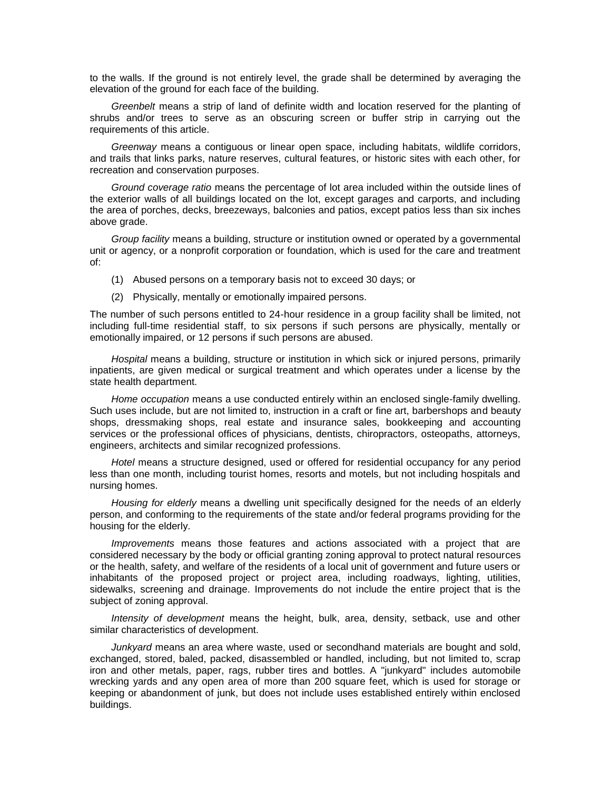to the walls. If the ground is not entirely level, the grade shall be determined by averaging the elevation of the ground for each face of the building.

*Greenbelt* means a strip of land of definite width and location reserved for the planting of shrubs and/or trees to serve as an obscuring screen or buffer strip in carrying out the requirements of this article.

*Greenway* means a contiguous or linear open space, including habitats, wildlife corridors, and trails that links parks, nature reserves, cultural features, or historic sites with each other, for recreation and conservation purposes.

*Ground coverage ratio* means the percentage of lot area included within the outside lines of the exterior walls of all buildings located on the lot, except garages and carports, and including the area of porches, decks, breezeways, balconies and patios, except patios less than six inches above grade.

*Group facility* means a building, structure or institution owned or operated by a governmental unit or agency, or a nonprofit corporation or foundation, which is used for the care and treatment of:

- (1) Abused persons on a temporary basis not to exceed 30 days; or
- (2) Physically, mentally or emotionally impaired persons.

The number of such persons entitled to 24-hour residence in a group facility shall be limited, not including full-time residential staff, to six persons if such persons are physically, mentally or emotionally impaired, or 12 persons if such persons are abused.

*Hospital* means a building, structure or institution in which sick or injured persons, primarily inpatients, are given medical or surgical treatment and which operates under a license by the state health department.

*Home occupation* means a use conducted entirely within an enclosed single-family dwelling. Such uses include, but are not limited to, instruction in a craft or fine art, barbershops and beauty shops, dressmaking shops, real estate and insurance sales, bookkeeping and accounting services or the professional offices of physicians, dentists, chiropractors, osteopaths, attorneys, engineers, architects and similar recognized professions.

*Hotel* means a structure designed, used or offered for residential occupancy for any period less than one month, including tourist homes, resorts and motels, but not including hospitals and nursing homes.

*Housing for elderly* means a dwelling unit specifically designed for the needs of an elderly person, and conforming to the requirements of the state and/or federal programs providing for the housing for the elderly.

*Improvements* means those features and actions associated with a project that are considered necessary by the body or official granting zoning approval to protect natural resources or the health, safety, and welfare of the residents of a local unit of government and future users or inhabitants of the proposed project or project area, including roadways, lighting, utilities, sidewalks, screening and drainage. Improvements do not include the entire project that is the subject of zoning approval.

*Intensity of development* means the height, bulk, area, density, setback, use and other similar characteristics of development.

*Junkyard* means an area where waste, used or secondhand materials are bought and sold, exchanged, stored, baled, packed, disassembled or handled, including, but not limited to, scrap iron and other metals, paper, rags, rubber tires and bottles. A "junkyard" includes automobile wrecking yards and any open area of more than 200 square feet, which is used for storage or keeping or abandonment of junk, but does not include uses established entirely within enclosed buildings.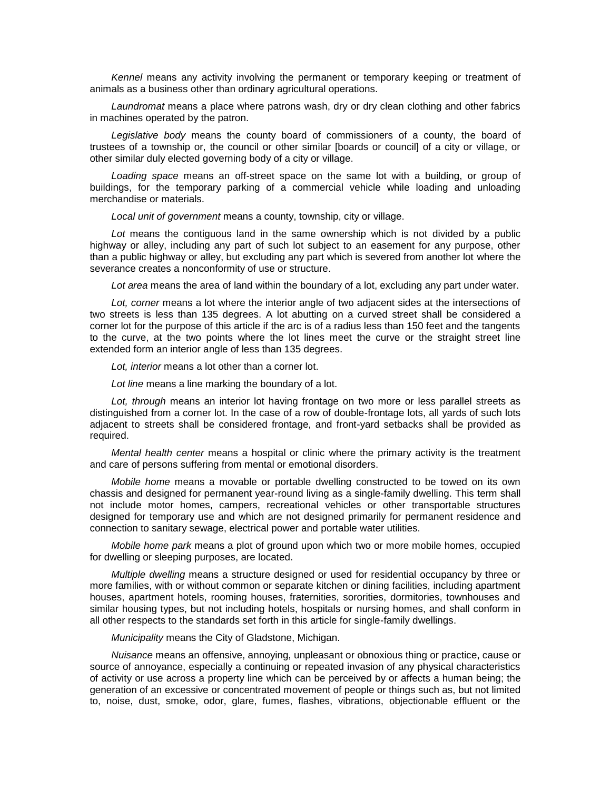*Kennel* means any activity involving the permanent or temporary keeping or treatment of animals as a business other than ordinary agricultural operations.

*Laundromat* means a place where patrons wash, dry or dry clean clothing and other fabrics in machines operated by the patron.

*Legislative body* means the county board of commissioners of a county, the board of trustees of a township or, the council or other similar [boards or council] of a city or village, or other similar duly elected governing body of a city or village.

*Loading space* means an off-street space on the same lot with a building, or group of buildings, for the temporary parking of a commercial vehicle while loading and unloading merchandise or materials.

*Local unit of government* means a county, township, city or village.

*Lot* means the contiguous land in the same ownership which is not divided by a public highway or alley, including any part of such lot subject to an easement for any purpose, other than a public highway or alley, but excluding any part which is severed from another lot where the severance creates a nonconformity of use or structure.

*Lot area* means the area of land within the boundary of a lot, excluding any part under water.

*Lot, corner* means a lot where the interior angle of two adjacent sides at the intersections of two streets is less than 135 degrees. A lot abutting on a curved street shall be considered a corner lot for the purpose of this article if the arc is of a radius less than 150 feet and the tangents to the curve, at the two points where the lot lines meet the curve or the straight street line extended form an interior angle of less than 135 degrees.

*Lot, interior* means a lot other than a corner lot.

*Lot line* means a line marking the boundary of a lot.

*Lot, through* means an interior lot having frontage on two more or less parallel streets as distinguished from a corner lot. In the case of a row of double-frontage lots, all yards of such lots adjacent to streets shall be considered frontage, and front-yard setbacks shall be provided as required.

*Mental health center* means a hospital or clinic where the primary activity is the treatment and care of persons suffering from mental or emotional disorders.

*Mobile home* means a movable or portable dwelling constructed to be towed on its own chassis and designed for permanent year-round living as a single-family dwelling. This term shall not include motor homes, campers, recreational vehicles or other transportable structures designed for temporary use and which are not designed primarily for permanent residence and connection to sanitary sewage, electrical power and portable water utilities.

*Mobile home park* means a plot of ground upon which two or more mobile homes, occupied for dwelling or sleeping purposes, are located.

*Multiple dwelling* means a structure designed or used for residential occupancy by three or more families, with or without common or separate kitchen or dining facilities, including apartment houses, apartment hotels, rooming houses, fraternities, sororities, dormitories, townhouses and similar housing types, but not including hotels, hospitals or nursing homes, and shall conform in all other respects to the standards set forth in this article for single-family dwellings.

*Municipality* means the City of Gladstone, Michigan.

*Nuisance* means an offensive, annoying, unpleasant or obnoxious thing or practice, cause or source of annoyance, especially a continuing or repeated invasion of any physical characteristics of activity or use across a property line which can be perceived by or affects a human being; the generation of an excessive or concentrated movement of people or things such as, but not limited to, noise, dust, smoke, odor, glare, fumes, flashes, vibrations, objectionable effluent or the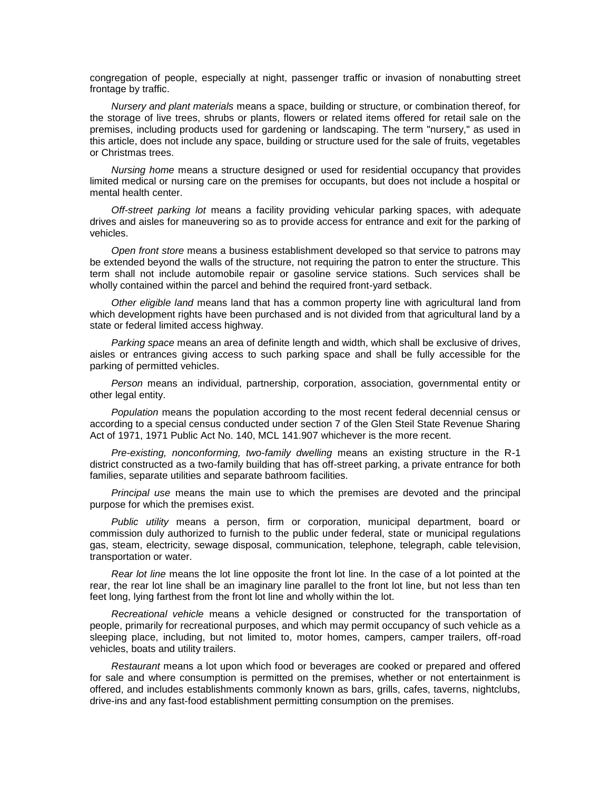congregation of people, especially at night, passenger traffic or invasion of nonabutting street frontage by traffic.

*Nursery and plant materials* means a space, building or structure, or combination thereof, for the storage of live trees, shrubs or plants, flowers or related items offered for retail sale on the premises, including products used for gardening or landscaping. The term "nursery," as used in this article, does not include any space, building or structure used for the sale of fruits, vegetables or Christmas trees.

*Nursing home* means a structure designed or used for residential occupancy that provides limited medical or nursing care on the premises for occupants, but does not include a hospital or mental health center.

*Off-street parking lot* means a facility providing vehicular parking spaces, with adequate drives and aisles for maneuvering so as to provide access for entrance and exit for the parking of vehicles.

*Open front store* means a business establishment developed so that service to patrons may be extended beyond the walls of the structure, not requiring the patron to enter the structure. This term shall not include automobile repair or gasoline service stations. Such services shall be wholly contained within the parcel and behind the required front-yard setback.

*Other eligible land* means land that has a common property line with agricultural land from which development rights have been purchased and is not divided from that agricultural land by a state or federal limited access highway.

*Parking space* means an area of definite length and width, which shall be exclusive of drives, aisles or entrances giving access to such parking space and shall be fully accessible for the parking of permitted vehicles.

*Person* means an individual, partnership, corporation, association, governmental entity or other legal entity.

*Population* means the population according to the most recent federal decennial census or according to a special census conducted under section 7 of the Glen Steil State Revenue Sharing Act of 1971, 1971 Public Act No. 140, MCL 141.907 whichever is the more recent.

*Pre-existing, nonconforming, two-family dwelling* means an existing structure in the R-1 district constructed as a two-family building that has off-street parking, a private entrance for both families, separate utilities and separate bathroom facilities.

*Principal use* means the main use to which the premises are devoted and the principal purpose for which the premises exist.

*Public utility* means a person, firm or corporation, municipal department, board or commission duly authorized to furnish to the public under federal, state or municipal regulations gas, steam, electricity, sewage disposal, communication, telephone, telegraph, cable television, transportation or water.

*Rear lot line* means the lot line opposite the front lot line. In the case of a lot pointed at the rear, the rear lot line shall be an imaginary line parallel to the front lot line, but not less than ten feet long, lying farthest from the front lot line and wholly within the lot.

*Recreational vehicle* means a vehicle designed or constructed for the transportation of people, primarily for recreational purposes, and which may permit occupancy of such vehicle as a sleeping place, including, but not limited to, motor homes, campers, camper trailers, off-road vehicles, boats and utility trailers.

*Restaurant* means a lot upon which food or beverages are cooked or prepared and offered for sale and where consumption is permitted on the premises, whether or not entertainment is offered, and includes establishments commonly known as bars, grills, cafes, taverns, nightclubs, drive-ins and any fast-food establishment permitting consumption on the premises.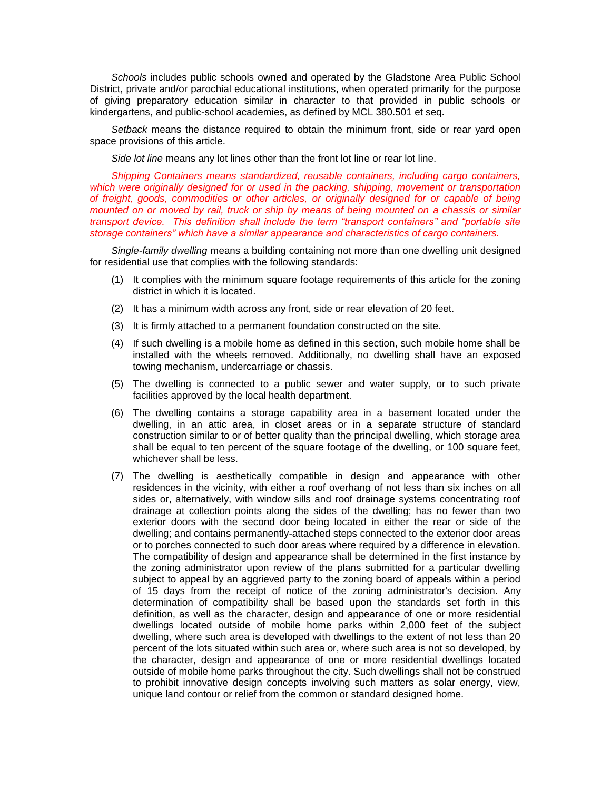*Schools* includes public schools owned and operated by the Gladstone Area Public School District, private and/or parochial educational institutions, when operated primarily for the purpose of giving preparatory education similar in character to that provided in public schools or kindergartens, and public-school academies, as defined by MCL 380.501 et seq.

*Setback* means the distance required to obtain the minimum front, side or rear yard open space provisions of this article.

*Side lot line* means any lot lines other than the front lot line or rear lot line.

*Shipping Containers means standardized, reusable containers, including cargo containers, which were originally designed for or used in the packing, shipping, movement or transportation of freight, goods, commodities or other articles, or originally designed for or capable of being mounted on or moved by rail, truck or ship by means of being mounted on a chassis or similar transport device. This definition shall include the term "transport containers" and "portable site storage containers" which have a similar appearance and characteristics of cargo containers.*

*Single-family dwelling* means a building containing not more than one dwelling unit designed for residential use that complies with the following standards:

- (1) It complies with the minimum square footage requirements of this article for the zoning district in which it is located.
- (2) It has a minimum width across any front, side or rear elevation of 20 feet.
- (3) It is firmly attached to a permanent foundation constructed on the site.
- (4) If such dwelling is a mobile home as defined in this section, such mobile home shall be installed with the wheels removed. Additionally, no dwelling shall have an exposed towing mechanism, undercarriage or chassis.
- (5) The dwelling is connected to a public sewer and water supply, or to such private facilities approved by the local health department.
- (6) The dwelling contains a storage capability area in a basement located under the dwelling, in an attic area, in closet areas or in a separate structure of standard construction similar to or of better quality than the principal dwelling, which storage area shall be equal to ten percent of the square footage of the dwelling, or 100 square feet, whichever shall be less.
- (7) The dwelling is aesthetically compatible in design and appearance with other residences in the vicinity, with either a roof overhang of not less than six inches on all sides or, alternatively, with window sills and roof drainage systems concentrating roof drainage at collection points along the sides of the dwelling; has no fewer than two exterior doors with the second door being located in either the rear or side of the dwelling; and contains permanently-attached steps connected to the exterior door areas or to porches connected to such door areas where required by a difference in elevation. The compatibility of design and appearance shall be determined in the first instance by the zoning administrator upon review of the plans submitted for a particular dwelling subject to appeal by an aggrieved party to the zoning board of appeals within a period of 15 days from the receipt of notice of the zoning administrator's decision. Any determination of compatibility shall be based upon the standards set forth in this definition, as well as the character, design and appearance of one or more residential dwellings located outside of mobile home parks within 2,000 feet of the subject dwelling, where such area is developed with dwellings to the extent of not less than 20 percent of the lots situated within such area or, where such area is not so developed, by the character, design and appearance of one or more residential dwellings located outside of mobile home parks throughout the city. Such dwellings shall not be construed to prohibit innovative design concepts involving such matters as solar energy, view, unique land contour or relief from the common or standard designed home.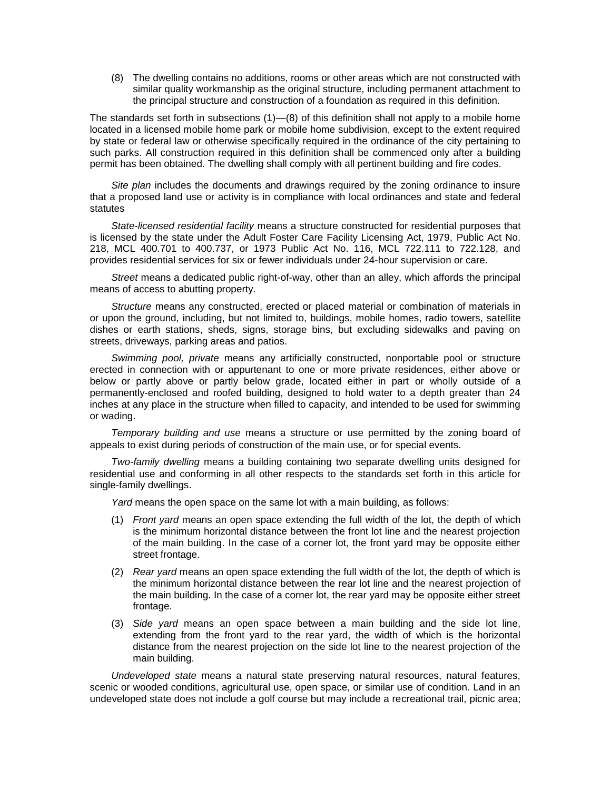(8) The dwelling contains no additions, rooms or other areas which are not constructed with similar quality workmanship as the original structure, including permanent attachment to the principal structure and construction of a foundation as required in this definition.

The standards set forth in subsections (1)—(8) of this definition shall not apply to a mobile home located in a licensed mobile home park or mobile home subdivision, except to the extent required by state or federal law or otherwise specifically required in the ordinance of the city pertaining to such parks. All construction required in this definition shall be commenced only after a building permit has been obtained. The dwelling shall comply with all pertinent building and fire codes.

*Site plan* includes the documents and drawings required by the zoning ordinance to insure that a proposed land use or activity is in compliance with local ordinances and state and federal statutes

*State-licensed residential facility* means a structure constructed for residential purposes that is licensed by the state under the Adult Foster Care Facility Licensing Act, 1979, Public Act No. 218, MCL 400.701 to 400.737, or 1973 Public Act No. 116, MCL 722.111 to 722.128, and provides residential services for six or fewer individuals under 24-hour supervision or care.

*Street* means a dedicated public right-of-way, other than an alley, which affords the principal means of access to abutting property.

*Structure* means any constructed, erected or placed material or combination of materials in or upon the ground, including, but not limited to, buildings, mobile homes, radio towers, satellite dishes or earth stations, sheds, signs, storage bins, but excluding sidewalks and paving on streets, driveways, parking areas and patios.

*Swimming pool, private* means any artificially constructed, nonportable pool or structure erected in connection with or appurtenant to one or more private residences, either above or below or partly above or partly below grade, located either in part or wholly outside of a permanently-enclosed and roofed building, designed to hold water to a depth greater than 24 inches at any place in the structure when filled to capacity, and intended to be used for swimming or wading.

*Temporary building and use* means a structure or use permitted by the zoning board of appeals to exist during periods of construction of the main use, or for special events.

*Two-family dwelling* means a building containing two separate dwelling units designed for residential use and conforming in all other respects to the standards set forth in this article for single-family dwellings.

*Yard* means the open space on the same lot with a main building, as follows:

- (1) *Front yard* means an open space extending the full width of the lot, the depth of which is the minimum horizontal distance between the front lot line and the nearest projection of the main building. In the case of a corner lot, the front yard may be opposite either street frontage.
- (2) *Rear yard* means an open space extending the full width of the lot, the depth of which is the minimum horizontal distance between the rear lot line and the nearest projection of the main building. In the case of a corner lot, the rear yard may be opposite either street frontage.
- (3) *Side yard* means an open space between a main building and the side lot line, extending from the front yard to the rear yard, the width of which is the horizontal distance from the nearest projection on the side lot line to the nearest projection of the main building.

*Undeveloped state* means a natural state preserving natural resources, natural features, scenic or wooded conditions, agricultural use, open space, or similar use of condition. Land in an undeveloped state does not include a golf course but may include a recreational trail, picnic area;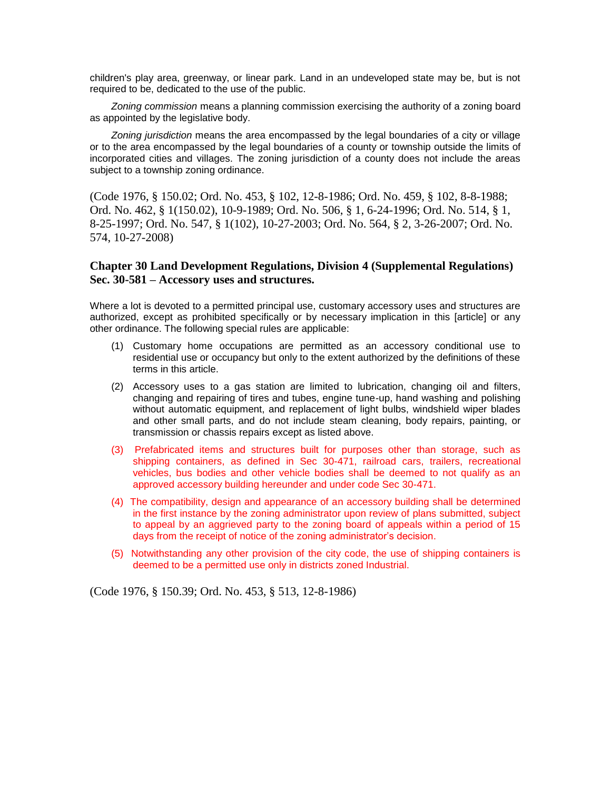children's play area, greenway, or linear park. Land in an undeveloped state may be, but is not required to be, dedicated to the use of the public.

*Zoning commission* means a planning commission exercising the authority of a zoning board as appointed by the legislative body.

*Zoning jurisdiction* means the area encompassed by the legal boundaries of a city or village or to the area encompassed by the legal boundaries of a county or township outside the limits of incorporated cities and villages. The zoning jurisdiction of a county does not include the areas subject to a township zoning ordinance.

(Code 1976, § 150.02; Ord. No. 453, § 102, 12-8-1986; Ord. No. 459, § 102, 8-8-1988; Ord. No. 462, § 1(150.02), 10-9-1989; Ord. No. 506, § 1, 6-24-1996; Ord. No. 514, § 1, 8-25-1997; Ord. No. 547, § 1(102), 10-27-2003; Ord. No. 564, § 2, 3-26-2007; Ord. No. 574, 10-27-2008)

#### **Chapter 30 Land Development Regulations, Division 4 (Supplemental Regulations) Sec. 30-581 – Accessory uses and structures.**

Where a lot is devoted to a permitted principal use, customary accessory uses and structures are authorized, except as prohibited specifically or by necessary implication in this [article] or any other ordinance. The following special rules are applicable:

- (1) Customary home occupations are permitted as an accessory conditional use to residential use or occupancy but only to the extent authorized by the definitions of these terms in this article.
- (2) Accessory uses to a gas station are limited to lubrication, changing oil and filters, changing and repairing of tires and tubes, engine tune-up, hand washing and polishing without automatic equipment, and replacement of light bulbs, windshield wiper blades and other small parts, and do not include steam cleaning, body repairs, painting, or transmission or chassis repairs except as listed above.
- (3) Prefabricated items and structures built for purposes other than storage, such as shipping containers, as defined in Sec 30-471, railroad cars, trailers, recreational vehicles, bus bodies and other vehicle bodies shall be deemed to not qualify as an approved accessory building hereunder and under code Sec 30-471.
- (4) The compatibility, design and appearance of an accessory building shall be determined in the first instance by the zoning administrator upon review of plans submitted, subject to appeal by an aggrieved party to the zoning board of appeals within a period of 15 days from the receipt of notice of the zoning administrator's decision.
- (5) Notwithstanding any other provision of the city code, the use of shipping containers is deemed to be a permitted use only in districts zoned Industrial.

(Code 1976, § 150.39; Ord. No. 453, § 513, 12-8-1986)